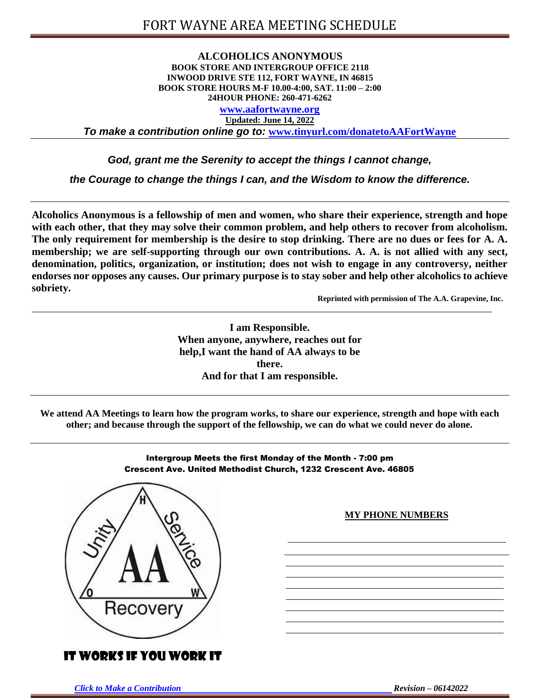#### **ALCOHOLICS ANONYMOUS BOOK STORE AND INTERGROUP OFFICE 2118 INWOOD DRIVE STE 112, FORT WAYNE, IN 46815 BOOK STORE HOURS M-F 10.00-4:00, SAT. 11:00 – 2:00 24HOUR PHONE: 260-471-6262**

**[www.aafortwayne.org](http://www.aafortwayne.org/) Updated: June 14, 2022**

*To make a contribution online go to:* **[www.tinyurl.com/donatetoAAFortWayne](http://www.tinyurl.com/donatetoAAFortWayne)**

*God, grant me the Serenity to accept the things I cannot change,*

*the Courage to change the things I can, and the Wisdom to know the difference.*

**Alcoholics Anonymous is a fellowship of men and women, who share their experience, strength and hope with each other, that they may solve their common problem, and help others to recover from alcoholism. The only requirement for membership is the desire to stop drinking. There are no dues or fees for A. A. membership; we are self-supporting through our own contributions. A. A. is not allied with any sect, denomination, politics, organization, or institution; does not wish to engage in any controversy, neither endorses nor opposes any causes. Our primary purpose is to stay sober and help other alcoholics to achieve sobriety.**

**Reprinted with permission of The A.A. Grapevine, Inc.**

**I am Responsible. When anyone, anywhere, reaches out for help,I want the hand of AA always to be there. And for that I am responsible.**

**We attend AA Meetings to learn how the program works, to share our experience, strength and hope with each other; and because through the support of the fellowship, we can do what we could never do alone.**



# IT WORKS IF YOU WORK IT

Intergroup Meets the first Monday of the Month - 7:00 pm Crescent Ave. United Methodist Church, 1232 Crescent Ave. 46805

#### **MY PHONE NUMBERS**

*Click to Make a [Contribution](http://www.tinyurl.com/donatetoAAFortWayne) Revision – 06142022*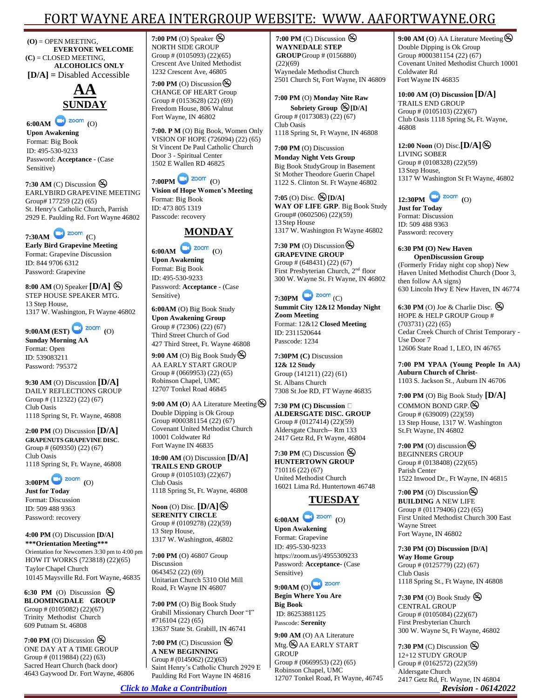# FORT WAYNE AREA INTERGROUP WEBSITE: WWW. [AAFORTWAYNE.ORG](http://www.aafortwayne.org/)

**[\(O\)](http://www.aafortwayne.org/)** = OPEN MEETING, **EVERYONE WELCOME (C)** = CLOSED MEETING, **ALCOHOLICS ONLY [D/A] =** Disabled Accessible



**6:00AM (**O) **Upon Awakening** Format: Big Book ID: 495-530-9233 Password: **Acceptance -** (Case Sensitive)

**7:30 AM** (C) Discussion EARLYBIRD GRAPEVINE MEETING Group# 177259 (22) (65) St. Henry's Catholic Church, Parrish 2929 E. Paulding Rd. Fort Wayne 46802



**Early Bird Grapevine Meeting** Format: Grapevine Discussion ID: 844 9706 6312 Password: Grapevine

**8:00 AM** (O) Speaker **[D/A]** STEP HOUSE SPEAKER MTG. 13 Step House, 1317 W. Washington, Ft Wayne 46802

**9:00AM (EST) (**O) **Sunday Morning AA** Format: Open ID: 539083211 Password: 795372

**9:30 AM** (O) Discussion **[D/A]** DAILY REFLECTIONS GROUP Group # (112322) (22) (67) Club Oasis 1118 Spring St, Ft. Wayne, 46808

**2:00 PM** (O) Discussion **[D/A] GRAPENUTS GRAPEVINE DISC**. Group # (609350) (22) (67) Club Oasis 1118 Spring St, Ft. Wayne, 46808

**3:00PM (**O) **Just for Today** Format: Discussion ID: 509 488 9363 Password: recovery

**4:00 PM** (O) Discussion **[D/A] \*\*\*Orientation Meeting\*\*\*** Orientation for Newcomers 3:30 pm to 4:00 pm HOW IT WORKS (723818) (22)(65) Taylor Chapel Church 10145 Maysville Rd. Fort Wayne, 46835

**6:30 PM** (O) Discussion  $\mathfrak{S}$ **BLOOMINGDALE GROUP** Group # (0105082) (22)(67) Trinity Methodist Church 609 Putnam St. 46808

**7:00 PM** (O) Discussion  $\bigotimes$ ONE DAY AT A TIME GROUP Group # (0119884) (22) (63) Sacred Heart Church (back door) 4643 Gaywood Dr. Fort Wayne, 46806 **7:00 PM** (O) Speaker NORTH SIDE GROUP Group # (0105093) (22)(65) Crescent Ave United Methodist 1232 Crescent Ave, 46805

**7:00 PM** (O) Discussion  $\bigotimes$ CHANGE OF HEART Group Group # (0153628) (22) (69) Freedom House, 806 Walnut Fort Wayne, IN 46802

**7:00. P M** (O) Big Book, Women Only VISION OF HOPE (726094) (22) (65) St Vincent De Paul Catholic Church Door 3 - Spiritual Center 1502 E Wallen RD 46825



**Vision of Hope Women's Meeting** Format: Big Book ID: 473 805 1319 Passcode: recovery



**6:00AM (**O) **Upon Awakening** Format: Big Book ID: 495-530-9233 Password: **Acceptance -** (Case Sensitive)

**6:00AM** (O) Big Book Study **Upon Awakening Group** Group # (72306) (22) (67) Third Street Church of God 427 Third Street, Ft. Wayne 46808

**9:00 AM** (O) Big Book Study  $\bigotimes$ AA EARLY START GROUP Group # (0669953) (22) (65) Robinson Chapel, UMC 12707 Tonkel Road 46845

**9:00 AM (O**) AA Literature Meeting Double Dipping is Ok Group Group #000381154 (22) (67) Covenant United Methodist Church 10001 Coldwater Rd Fort Wayne IN 46835

**10:00 AM** (O) Discussion **[D/A] TRAILS END GROUP** Group # (0105103) (22)(67) Club Oasis 1118 Spring St, Ft. Wayne, 46808

**Noon** (O) Disc.  $[D/A]$ **SERENITY CIRCLE** Group # (0109278) (22)(59) 13 Step House, 1317 W. Washington, 46802

**7:00 PM** (O) 46807 Group Discussion 0643452 (22) (69) Unitarian Church 5310 Old Mill Road, Ft Wayne IN 46807

**7:00 PM** (O) Big Book Study Grabill Missionary Church Door "I" #716104 (22) (65) 13637 State St. Grabill, IN 46741

**7:00 PM** (C) Discussion  $\otimes$ **A NEW BEGINNING** Group # (0145062) (22)(63) Saint Henry's Catholic Church 2929 E Paulding Rd Fort Wayne IN 46816

**7:00 PM** (C) Discussion  $\bigotimes$ **WAYNEDALE STEP GROUP** Group # (0156880)  $(22)(69)$ Waynedale Methodist Church 2501 Church St, Fort Wayne, IN 46809

**7:00 PM** (O) **Monday Nite Raw Sobriety Group [D/A]** Group # (0173083) (22) (67) Club Oasis 1118 Spring St, Ft Wayne, IN 46808

**7:00 PM** (O) Discussion **Monday Night Vets Group**  Big Book StudyGroup in Basement St Mother Theodore Guerin Chapel 1122 S. Clinton St. Ft Wayne 46802

**7:05** (O) Disc. **[D/A] WAY OF LIFE GRP**. Big Book Study Group# (0602506) (22)(59) 13 Step House 1317 W. Washington Ft Wayne 46802

**7:30 PM** (O) Discussion  $\bigotimes$ **GRAPEVINE GROUP** Group # (648431) (22) (67) First Presbyterian Church, 2<sup>nd</sup> floor 300 W. Wayne St. Ft Wayne, IN 46802



**Summit City 12&12 Monday Night Zoom Meeting** Format: 12&12 **Closed Meeting** ID: 2311520644 Passcode: 1234

**7:30PM (C)** Discussion **12& 12 Study** Group (141211) (22) (61) St. Albans Church 7308 St Joe RD, FT Wayne 46835

**7:30 PM (C) Discussion ALDERSGATE DISC. GROUP** Group # (0127414) (22)(59) Aldersgate Church-- Rm 133 2417 Getz Rd, Ft Wayne, 46804

**7:30 PM** (C) Discussion  $\bigotimes$ **HUNTERTOWN GROUP** 710116 (22) (67) United Methodist Church 16021 Lima Rd. Huntertown 46748

# **TUESDAY**



**Upon Awakening** Format: Grapevine ID: 495-530-9233 https://zoom.us/j/4955309233 Password: **Acceptance-** (Case Sensitive)

**9:00AM (**O) **Begin Where You Are**

**Big Book** ID: 86253881125 Passcode: **Serenity**

**9:00 AM** (O) AA Literature  $Mtg.$   $\bigotimes$  AA EARLY START **GROUP** Group # (0669953) (22) (65) Robinson Chapel, UMC 12707 Tonkel Road, Ft Wayne, 46745 **9:00 AM (O**) AA Literature Meeting Double Dipping is Ok Group Group #000381154 (22) (67) Covenant United Methodist Church 10001 Coldwater Rd Fort Wayne IN 46835

**10:00 AM (O) Discussion [D/A]** TRAILS END GROUP Group # (0105103) (22)(67) Club Oasis 1118 Spring St, Ft. Wayne, 46808

**12:00 Noon** (O) Disc.**[D/A]** LIVING SOBER Group # (0108328) (22)(59) 13 Step House, 1317 W Washington St Ft Wayne, 46802



**Just for Today** Format: Discussion ID: 509 488 9363 Password: recovery

**6:30 PM (O) New Haven OpenDiscussion Group** (Formerly Friday night cop shop) New Haven United Methodist Church (Door 3, then follow AA signs) 630 Lincoln Hwy E New Haven, IN 46774

**6:30 PM** (O) Joe & Charlie Disc. HOPE & HELP GROUP Group # (703731) (22) (65) Cedar Creek Church of Christ Temporary - Use Door 7 12606 State Road 1, LEO, IN 46765

**7:00 PM YPAA (Young People In AA) Auburn Church of Christ-**1103 S. Jackson St., Auburn IN 46706

**7:00 PM** (O) Big Book Study **[D/A]** COMMON BOND GRP.  $\otimes$ Group # (639009) (22)(59) 13 Step House, 1317 W. Washington St.Ft Wayne, IN 46802

**7:00 PM** (O) discussion  $\otimes$ BEGINNERS GROUP Group # (0138408) (22)(65) Parish Center 1522 Inwood Dr., Ft Wayne, IN 46815

**7:00 PM** (O) Discussion  $\bigotimes$ **BUILDING** A NEW LIFE Group # (01179406) (22) (65) First United Methodist Church 300 East Wayne Street Fort Wayne, IN 46802

**7:30 PM (O) Discussion [D/A] Way Home Group** Group # (0125779) (22) (67) Club Oasis 1118 Spring St., Ft Wayne, IN 46808

**7:30 PM** (O) Book Study CENTRAL GROUP Group # (0105084) (22)(67) First Presbyterian Church 300 W. Wayne St, Ft Wayne, 46802

**7:30 PM** (C) Discussion  $\bigotimes$ 12+12 STUDY GROUP Group # (0162572) (22)(59) Aldersgate Church 2417 Getz Rd, Ft. Wayne, IN 46804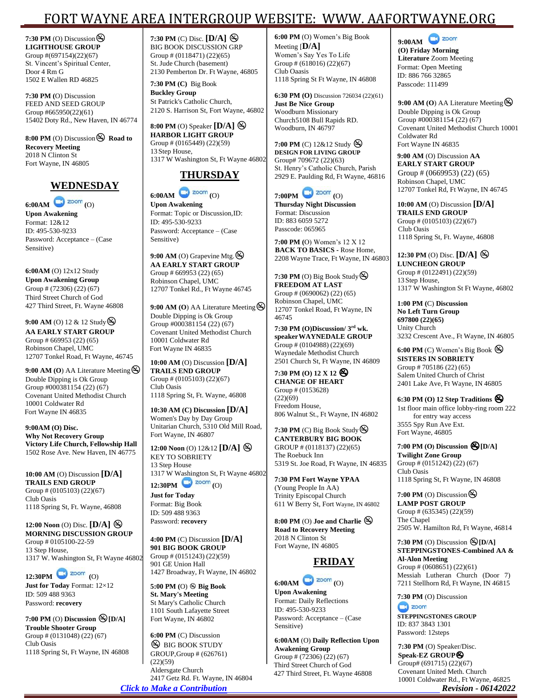# FORT WAYNE AREA INTERGROUP WEBSITE: WWW. [AAFORTWAYNE.ORG](http://www.aafortwayne.org/)

**[7:30 PM](http://www.aafortwayne.org/)** (O) Discussion  $\bigotimes$ **LIGHTHOUSE GROUP** Group #(697154)(22)(67) St. Vincent's Spiritual Center, Door 4 Rm G 1502 E Wallen RD 46825

**7:30 PM (**O) Discussion FEED AND SEED GROUP Group #665950(22)(61) 15402 Doty Rd., New Haven, IN 46774

**8:00 PM** (O) Discussion **Road to Recovery Meeting** 2018 N Clinton St Fort Wayne, IN 46805



**6:00AM (**O) **Upon Awakening** Format: 12&12 ID: 495-530-9233 Password: Acceptance – (Case Sensitive)

**6:00AM** (O) 12x12 Study **Upon Awakening Group** Group # (72306) (22) (67) Third Street Church of God 427 Third Street, Ft. Wayne 46808

**9:00 AM** (O) 12 & 12 Study  $\bigotimes$ **AA EARLY START GROUP** Group # 669953 (22) (65) Robinson Chapel, UMC 12707 Tonkel Road, Ft Wayne, 46745

**9:00 AM (O**) AA Literature Meeting Double Dipping is Ok Group Group  $\sharp 000381154(22)(67)$ Covenant United Methodist Church 10001 Coldwater Rd Fort Wayne IN 46835

**9:00AM (O) Disc. Why Not Recovery Group Victory Life Church, Fellowship Hall** 1502 Rose Ave. New Haven, IN 46775

**10:00 AM** (O) Discussion **[D/A] TRAILS END GROUP** Group # (0105103) (22)(67) Club Oasis 1118 Spring St, Ft. Wayne, 46808

**12:00 Noon** (O) Disc. **[D/A] MORNING DISCUSSION GROUP** Group # 0105100-22-59 13 Step House, 1317 W. Washington St, Ft Wayne 46802

**12:30PM (**O)

**Just for Today** Format: 12×12 ID: 509 488 9363 Password: **recovery**

**7:00 PM** (O) **Discussion [D/A] Trouble Shooter Group** Group # (0131048) (22) (67) Club Oasis 1118 Spring St, Ft Wayne, IN 46808 **7:30 PM** (C) Disc. **[D/A]**  BIG BOOK DISCUSSION GRP Group # (0118471) (22)(65) St. Jude Church (basement) 2130 Pemberton Dr. Ft Wayne, 46805

**7:30 PM (C)** Big Book **Buckley Group** St Patrick's Catholic Church, 2120 S. Harrison St, Fort Wayne, 46802

**8:00 PM** (O) Speaker **[D/A] HARBOR LIGHT GROUP** Group # (0165449) (22)(59) 13 Step House, 1317 W Washington St, Ft Wayne 46802

# **THURSDAY**

**6:00AM (**O) **Upon Awakening** Format: Topic or Discussion,ID: ID: 495-530-9233 Password: Acceptance – (Case Sensitive)

**9:00 AM** (O) Grapevine Mtg.  $\bigotimes$ **AA EARLY START GROUP** Group # 669953 (22) (65) Robinson Chapel, UMC 12707 Tonkel Rd., Ft Wayne 46745

**9:00 AM (O**) AA Literature Meeting Double Dipping is Ok Group Group #000381154 (22) (67) Covenant United Methodist Church 10001 Coldwater Rd Fort Wayne IN 46835

**10:00 AM** (O) Discussion **[D/A] TRAILS END GROUP** Group # (0105103) (22)(67) Club Oasis 1118 Spring St, Ft. Wayne, 46808

**10:30 AM (C) Discussion [D/A]** Women's Day by Day Group Unitarian Church, 5310 Old Mill Road, Fort Wayne, IN 46807

**12:00 Noon** (O) 12&12 **[D/A]** KEY TO SOBRIETY 13 Step House 1317 W Washington St, Ft Wayne 46802  $12:30$ PM $\bigodot$  zoom $(0)$ 

**Just for Today** Format: Big Book ID: 509 488 9363

Password: **recovery**

**4:00 PM** (C) Discussion **[D/A] 901 BIG BOOK GROUP** Group # (0151243) (22)(59) 901 GE Union Hall 1427 Broadway, Ft Wayne, IN 46802

**5:00 PM (**O) **Big Book St. Mary's Meeting** St Mary's Catholic Church 1101 South Lafayette Street Fort Wayne, IN 46802

**6:00 PM** (C) Discussion **BIG BOOK STUDY** GROUP,Group # (626761)  $(22)(59)$ Aldersgate Church 2417 Getz Rd. Ft. Wayne, IN 46804 **6:00 PM** (O) Women's Big Book Meeting [**D/A]** Women's Say Yes To Life Group #  $(618016)$   $(22)(67)$ Club Oaasis 1118 Spring St Ft Wayne, IN 46808

**6:30 PM (O)** Discussion 726034 (22)(61) **Just Be Nice Group** Woodburn Missionary Church5108 Bull Rapids RD. Woodburn, IN 46797

**7:00 PM** (C) 12&12 Study **DESIGN FOR LIVING GROUP** Group# 709672 (22)(63) St. Henry's Catholic Church, Parish 2929 E. Paulding Rd, Ft Wayne, 46816



**Thursday Night Discussion** Format: Discussion ID: 883 6059 5272 Passcode: 065965

**7:00 PM (**O) Women's 12 X 12 **BACK TO BASICS -** Rose Home, 2208 Wayne Trace, Ft Wayne, IN 46803

**7:30 PM** (O) Big Book Study **FREEDOM AT LAST** Group # (0690062) (22) (65) Robinson Chapel, UMC 12707 Tonkel Road, Ft Wayne, IN 46745

**7:30 PM (O)Discussion/ 3rd wk. speaker WAYNEDALE GROUP** Group #  $(0104988)$   $(22)(69)$ Waynedale Methodist Church 2501 Church St, Ft Wayne, IN 46809

**7:30 PM (O) 12 X 12 CHANGE OF HEART** Group # (0153628)  $(22)(69)$ Freedom House, 806 Walnut St., Ft Wayne, IN 46802

**7:30 PM** (C) Big Book Study  $\bigotimes$ **CANTERBURY BIG BOOK** GROUP # (0118137) (22)(65) The Roebuck Inn 5319 St. Joe Road, Ft Wayne, IN 46835

**7:30 PM Fort Wayne YPAA**  (Young People In AA) Trinity Episcopal Church 611 W Berry St, Fort Wayne, IN 46802

**8:00 PM** (O) **Joe and Charlie Road to Recovery Meeting** 2018 N Clinton St Fort Wayne, IN 46805

### **FRIDAY**

**6:00AM**  $\bigodot$  **zoom** (O) **Upon Awakening** Format: Daily Reflections ID: 495-530-9233 Password: Acceptance – (Case Sensitive)

**6:00AM** (O) **Daily Reflection Upon Awakening Group** Group # (72306) (22) (67) Third Street Church of God 427 Third Street, Ft. Wayne 46808

**9:00AM** 

**(O) Friday Morning Literature** Zoom Meeting Format: Open Meeting ID: 886 766 32865 Passcode: 111499

9:00 AM (O) AA Literature Meeting  $\bigotimes$ Double Dipping is Ok Group Group #000381154 (22) (67) Covenant United Methodist Church 10001 Coldwater Rd Fort Wayne IN 46835

**9:00 AM** (O) Discussion **AA EARLY START GROUP** Group # (0669953) (22) (65) Robinson Chapel, UMC 12707 Tonkel Rd, Ft Wayne, IN 46745

**10:00 AM** (O) Discussion **[D/A] TRAILS END GROUP** Group # (0105103) (22)(67) Club Oasis 1118 Spring St, Ft. Wayne, 46808

**12:30 PM** (O) Disc. **[D/A] LUNCHEON GROUP** Group # (0122491) (22)(59) 13 Step House, 1317 W Washington St Ft Wayne, 46802

**1:00 PM (**C) **Discussion No Left Turn Group 697800 (22)(65)** Unity Church 3232 Crescent Ave., Ft Wayne, IN 46805

**6:00 PM** (C) Women's Big Book  $\bigotimes$ **SISTERS IN SOBRIETY**  Group # 705186 (22) (65) Salem United Church of Christ 2401 Lake Ave, Ft Wayne, IN 46805

**6:30 PM (O) <sup>12</sup> Step Traditions** 1st floor main office lobby-ring room 222 for entry way access 3555 Spy Run Ave Ext. Fort Wayne, 46805

**7:00 PM (O) Discussion [D/A] Twilight Zone Group** Group #  $(0151242)(22)(67)$ Club Oasis 1118 Spring St, Ft Wayne, IN 46808

**7:00 PM** (O) Discussion  $\bigotimes$ **LAMP POST GROUP** Group # (635345) (22)(59) The Chapel 2505 W. Hamilton Rd, Ft Wayne, 46814

**7:30 PM** (O) Discussion **[D/A] STEPPINGSTONES-Combined AA & Al-Alon Meeting** Group #  $(0608651)(22)(61)$ Messiah Lutheran Church (Door 7) 7211 Stellhorn Rd, Ft Wayne, IN 46815

**7:30 PM** (O) Discussion  $\bigcirc$  zoom

**STEPPINGSTONES GROUP** ID: 837 3843 1301 Password: 12steps

*Click to Make a [Contribution](http://www.tinyurl.com/donatetoAAFortWayne) Revision - 06142022* **7:30 PM** (O) Speaker/Disc. **Speak-EZ GROUP** Group#  $(691715)$   $(22)(67)$ Covenant United Meth. Church 10001 Coldwater Rd., Ft Wayne, 46825